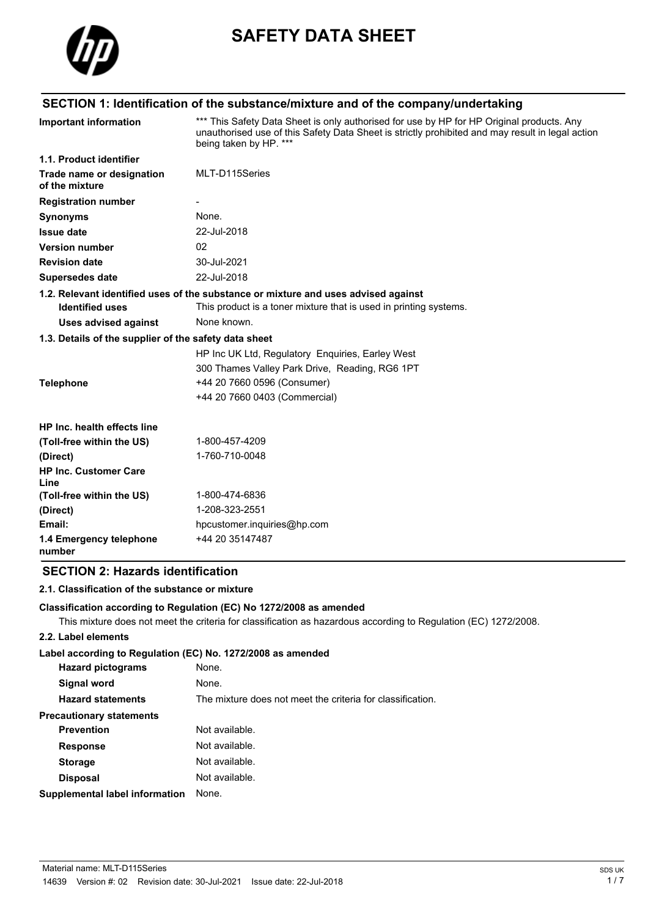

# **SAFETY DATA SHEET**

## **SECTION 1: Identification of the substance/mixture and of the company/undertaking**

| <b>Important information</b>                          | *** This Safety Data Sheet is only authorised for use by HP for HP Original products. Any<br>unauthorised use of this Safety Data Sheet is strictly prohibited and may result in legal action<br>being taken by HP. *** |
|-------------------------------------------------------|-------------------------------------------------------------------------------------------------------------------------------------------------------------------------------------------------------------------------|
| 1.1. Product identifier                               |                                                                                                                                                                                                                         |
| Trade name or designation<br>of the mixture           | MLT-D115Series                                                                                                                                                                                                          |
| <b>Registration number</b>                            |                                                                                                                                                                                                                         |
| <b>Synonyms</b>                                       | None.                                                                                                                                                                                                                   |
| <b>Issue date</b>                                     | 22-Jul-2018                                                                                                                                                                                                             |
| <b>Version number</b>                                 | 02                                                                                                                                                                                                                      |
| <b>Revision date</b>                                  | 30-Jul-2021                                                                                                                                                                                                             |
| <b>Supersedes date</b>                                | 22-Jul-2018                                                                                                                                                                                                             |
|                                                       | 1.2. Relevant identified uses of the substance or mixture and uses advised against                                                                                                                                      |
| <b>Identified uses</b>                                | This product is a toner mixture that is used in printing systems.                                                                                                                                                       |
| <b>Uses advised against</b>                           | None known.                                                                                                                                                                                                             |
| 1.3. Details of the supplier of the safety data sheet |                                                                                                                                                                                                                         |
|                                                       | HP Inc UK Ltd, Regulatory Enquiries, Earley West                                                                                                                                                                        |
|                                                       | 300 Thames Valley Park Drive, Reading, RG6 1PT                                                                                                                                                                          |
| <b>Telephone</b>                                      | +44 20 7660 0596 (Consumer)                                                                                                                                                                                             |
|                                                       | +44 20 7660 0403 (Commercial)                                                                                                                                                                                           |
| HP Inc. health effects line                           |                                                                                                                                                                                                                         |
| (Toll-free within the US)                             | 1-800-457-4209                                                                                                                                                                                                          |
| (Direct)                                              | 1-760-710-0048                                                                                                                                                                                                          |
| <b>HP Inc. Customer Care</b><br>Line                  |                                                                                                                                                                                                                         |
| (Toll-free within the US)                             | 1-800-474-6836                                                                                                                                                                                                          |
| (Direct)                                              | 1-208-323-2551                                                                                                                                                                                                          |
| Email:                                                | hpcustomer.inquiries@hp.com                                                                                                                                                                                             |
| 1.4 Emergency telephone<br>number                     | +44 20 35147487                                                                                                                                                                                                         |

## **SECTION 2: Hazards identification**

## **2.1. Classification of the substance or mixture**

#### **Classification according to Regulation (EC) No 1272/2008 as amended**

This mixture does not meet the criteria for classification as hazardous according to Regulation (EC) 1272/2008.

#### **2.2. Label elements**

#### **Label according to Regulation (EC) No. 1272/2008 as amended**

| <b>Hazard pictograms</b>        | None.                                                      |
|---------------------------------|------------------------------------------------------------|
| Signal word                     | None.                                                      |
| <b>Hazard statements</b>        | The mixture does not meet the criteria for classification. |
| <b>Precautionary statements</b> |                                                            |
| <b>Prevention</b>               | Not available.                                             |
| <b>Response</b>                 | Not available.                                             |
| <b>Storage</b>                  | Not available.                                             |
| <b>Disposal</b>                 | Not available.                                             |
| Supplemental label information  | None.                                                      |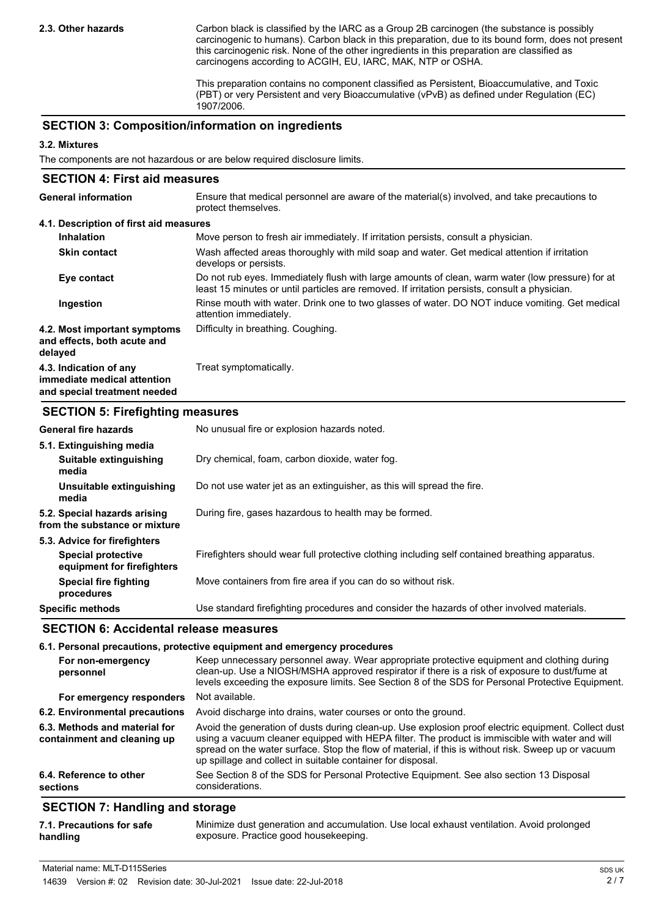Carbon black is classified by the IARC as a Group 2B carcinogen (the substance is possibly carcinogenic to humans). Carbon black in this preparation, due to its bound form, does not present this carcinogenic risk. None of the other ingredients in this preparation are classified as carcinogens according to ACGIH, EU, IARC, MAK, NTP or OSHA.

This preparation contains no component classified as Persistent, Bioaccumulative, and Toxic (PBT) or very Persistent and very Bioaccumulative (vPvB) as defined under Regulation (EC) 1907/2006.

### **SECTION 3: Composition/information on ingredients**

#### **3.2. Mixtures**

The components are not hazardous or are below required disclosure limits.

| <b>SECTION 4: First aid measures</b>                                                  |                                                                                                                                                                                                   |
|---------------------------------------------------------------------------------------|---------------------------------------------------------------------------------------------------------------------------------------------------------------------------------------------------|
| <b>General information</b>                                                            | Ensure that medical personnel are aware of the material(s) involved, and take precautions to<br>protect themselves.                                                                               |
| 4.1. Description of first aid measures                                                |                                                                                                                                                                                                   |
| <b>Inhalation</b>                                                                     | Move person to fresh air immediately. If irritation persists, consult a physician.                                                                                                                |
| <b>Skin contact</b>                                                                   | Wash affected areas thoroughly with mild soap and water. Get medical attention if irritation<br>develops or persists.                                                                             |
| Eye contact                                                                           | Do not rub eyes. Immediately flush with large amounts of clean, warm water (low pressure) for at<br>least 15 minutes or until particles are removed. If irritation persists, consult a physician. |
| Ingestion                                                                             | Rinse mouth with water. Drink one to two glasses of water. DO NOT induce vomiting. Get medical<br>attention immediately.                                                                          |
| 4.2. Most important symptoms<br>and effects, both acute and<br>delayed                | Difficulty in breathing. Coughing.                                                                                                                                                                |
| 4.3. Indication of any<br>immediate medical attention<br>and special treatment needed | Treat symptomatically.                                                                                                                                                                            |

#### **SECTION 5: Firefighting measures**

| <b>General fire hazards</b>                                   | No unusual fire or explosion hazards noted.                                                     |
|---------------------------------------------------------------|-------------------------------------------------------------------------------------------------|
| 5.1. Extinguishing media                                      |                                                                                                 |
| Suitable extinguishing<br>media                               | Dry chemical, foam, carbon dioxide, water fog.                                                  |
| Unsuitable extinguishing<br>media                             | Do not use water jet as an extinguisher, as this will spread the fire.                          |
| 5.2. Special hazards arising<br>from the substance or mixture | During fire, gases hazardous to health may be formed.                                           |
| 5.3. Advice for firefighters                                  |                                                                                                 |
| <b>Special protective</b><br>equipment for firefighters       | Firefighters should wear full protective clothing including self contained breathing apparatus. |
| <b>Special fire fighting</b><br>procedures                    | Move containers from fire area if you can do so without risk.                                   |
| <b>Specific methods</b>                                       | Use standard firefighting procedures and consider the hazards of other involved materials.      |

## **SECTION 6: Accidental release measures**

|                                                              | 6.1. Personal precautions, protective equipment and emergency procedures                                                                                                                                                                                                                                                                                                     |
|--------------------------------------------------------------|------------------------------------------------------------------------------------------------------------------------------------------------------------------------------------------------------------------------------------------------------------------------------------------------------------------------------------------------------------------------------|
| For non-emergency<br>personnel                               | Keep unnecessary personnel away. Wear appropriate protective equipment and clothing during<br>clean-up. Use a NIOSH/MSHA approved respirator if there is a risk of exposure to dust/fume at<br>levels exceeding the exposure limits. See Section 8 of the SDS for Personal Protective Equipment.                                                                             |
| For emergency responders                                     | Not available.                                                                                                                                                                                                                                                                                                                                                               |
| 6.2. Environmental precautions                               | Avoid discharge into drains, water courses or onto the ground.                                                                                                                                                                                                                                                                                                               |
| 6.3. Methods and material for<br>containment and cleaning up | Avoid the generation of dusts during clean-up. Use explosion proof electric equipment. Collect dust<br>using a vacuum cleaner equipped with HEPA filter. The product is immiscible with water and will<br>spread on the water surface. Stop the flow of material, if this is without risk. Sweep up or vacuum<br>up spillage and collect in suitable container for disposal. |
| 6.4. Reference to other<br>sections                          | See Section 8 of the SDS for Personal Protective Equipment. See also section 13 Disposal<br>considerations.                                                                                                                                                                                                                                                                  |
| <b>OFOTION 7. Herealth are all advanced</b>                  |                                                                                                                                                                                                                                                                                                                                                                              |

## **SECTION 7: Handling and storage**

| 7.1. Precautions for safe | Minimize dust generation and accumulation. Use local exhaust ventilation. Avoid prolonged |
|---------------------------|-------------------------------------------------------------------------------------------|
| handling                  | exposure. Practice good housekeeping.                                                     |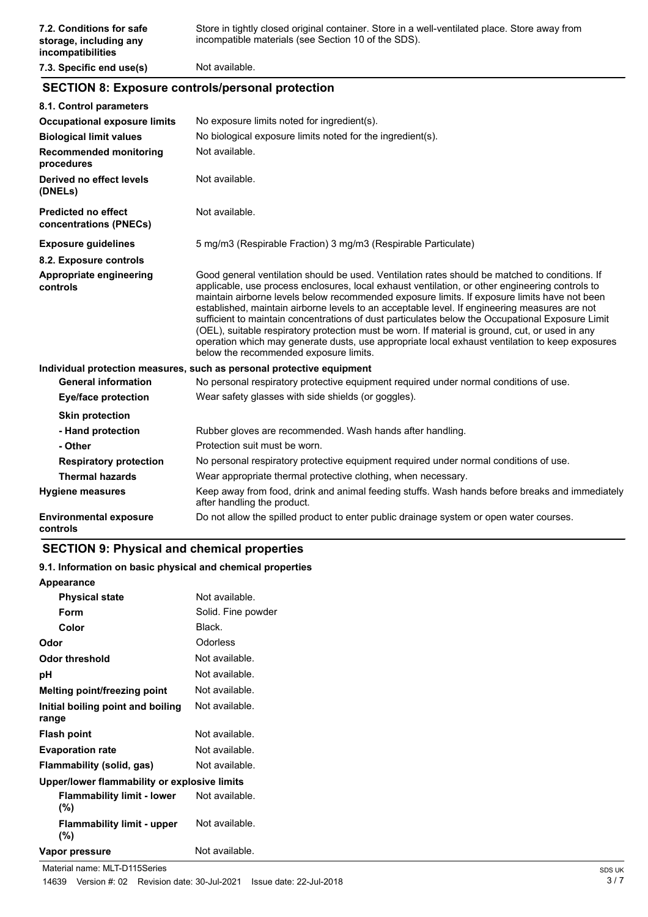## **SECTION 8: Exposure controls/personal protection**

| 8.1. Control parameters                              |                                                                                                                                                                                                                                                                                                                                                                                                                                                                                                                                                                                                                                                                                                                                                        |
|------------------------------------------------------|--------------------------------------------------------------------------------------------------------------------------------------------------------------------------------------------------------------------------------------------------------------------------------------------------------------------------------------------------------------------------------------------------------------------------------------------------------------------------------------------------------------------------------------------------------------------------------------------------------------------------------------------------------------------------------------------------------------------------------------------------------|
| <b>Occupational exposure limits</b>                  | No exposure limits noted for ingredient(s).                                                                                                                                                                                                                                                                                                                                                                                                                                                                                                                                                                                                                                                                                                            |
| <b>Biological limit values</b>                       | No biological exposure limits noted for the ingredient(s).                                                                                                                                                                                                                                                                                                                                                                                                                                                                                                                                                                                                                                                                                             |
| <b>Recommended monitoring</b><br>procedures          | Not available.                                                                                                                                                                                                                                                                                                                                                                                                                                                                                                                                                                                                                                                                                                                                         |
| Derived no effect levels<br>(DNELs)                  | Not available.                                                                                                                                                                                                                                                                                                                                                                                                                                                                                                                                                                                                                                                                                                                                         |
| <b>Predicted no effect</b><br>concentrations (PNECs) | Not available.                                                                                                                                                                                                                                                                                                                                                                                                                                                                                                                                                                                                                                                                                                                                         |
| <b>Exposure guidelines</b>                           | 5 mg/m3 (Respirable Fraction) 3 mg/m3 (Respirable Particulate)                                                                                                                                                                                                                                                                                                                                                                                                                                                                                                                                                                                                                                                                                         |
| 8.2. Exposure controls                               |                                                                                                                                                                                                                                                                                                                                                                                                                                                                                                                                                                                                                                                                                                                                                        |
| Appropriate engineering<br>controls                  | Good general ventilation should be used. Ventilation rates should be matched to conditions. If<br>applicable, use process enclosures, local exhaust ventilation, or other engineering controls to<br>maintain airborne levels below recommended exposure limits. If exposure limits have not been<br>established, maintain airborne levels to an acceptable level. If engineering measures are not<br>sufficient to maintain concentrations of dust particulates below the Occupational Exposure Limit<br>(OEL), suitable respiratory protection must be worn. If material is ground, cut, or used in any<br>operation which may generate dusts, use appropriate local exhaust ventilation to keep exposures<br>below the recommended exposure limits. |
|                                                      | Individual protection measures, such as personal protective equipment                                                                                                                                                                                                                                                                                                                                                                                                                                                                                                                                                                                                                                                                                  |
| <b>General information</b>                           | No personal respiratory protective equipment required under normal conditions of use.                                                                                                                                                                                                                                                                                                                                                                                                                                                                                                                                                                                                                                                                  |
| <b>Eye/face protection</b>                           | Wear safety glasses with side shields (or goggles).                                                                                                                                                                                                                                                                                                                                                                                                                                                                                                                                                                                                                                                                                                    |
| <b>Skin protection</b>                               |                                                                                                                                                                                                                                                                                                                                                                                                                                                                                                                                                                                                                                                                                                                                                        |
| - Hand protection                                    | Rubber gloves are recommended. Wash hands after handling.                                                                                                                                                                                                                                                                                                                                                                                                                                                                                                                                                                                                                                                                                              |
| - Other                                              | Protection suit must be worn.                                                                                                                                                                                                                                                                                                                                                                                                                                                                                                                                                                                                                                                                                                                          |
| <b>Respiratory protection</b>                        | No personal respiratory protective equipment required under normal conditions of use.                                                                                                                                                                                                                                                                                                                                                                                                                                                                                                                                                                                                                                                                  |
| <b>Thermal hazards</b>                               | Wear appropriate thermal protective clothing, when necessary.                                                                                                                                                                                                                                                                                                                                                                                                                                                                                                                                                                                                                                                                                          |
| <b>Hygiene measures</b>                              | Keep away from food, drink and animal feeding stuffs. Wash hands before breaks and immediately<br>after handling the product.                                                                                                                                                                                                                                                                                                                                                                                                                                                                                                                                                                                                                          |
| <b>Environmental exposure</b><br>controls            | Do not allow the spilled product to enter public drainage system or open water courses.                                                                                                                                                                                                                                                                                                                                                                                                                                                                                                                                                                                                                                                                |

## **SECTION 9: Physical and chemical properties**

#### **9.1. Information on basic physical and chemical properties**

| Appearance                                   |                    |
|----------------------------------------------|--------------------|
| <b>Physical state</b>                        | Not available.     |
| Form                                         | Solid. Fine powder |
| Color                                        | Black.             |
| Odor                                         | Odorless           |
| Odor threshold                               | Not available.     |
| рH                                           | Not available.     |
| Melting point/freezing point                 | Not available.     |
| Initial boiling point and boiling            | Not available.     |
| range                                        |                    |
| <b>Flash point</b>                           | Not available.     |
| <b>Evaporation rate</b>                      | Not available.     |
| Flammability (solid, gas)                    | Not available.     |
| Upper/lower flammability or explosive limits |                    |
| <b>Flammability limit - lower</b><br>$(\%)$  | Not available.     |
| <b>Flammability limit - upper</b><br>(%)     | Not available.     |
| Vapor pressure                               | Not available.     |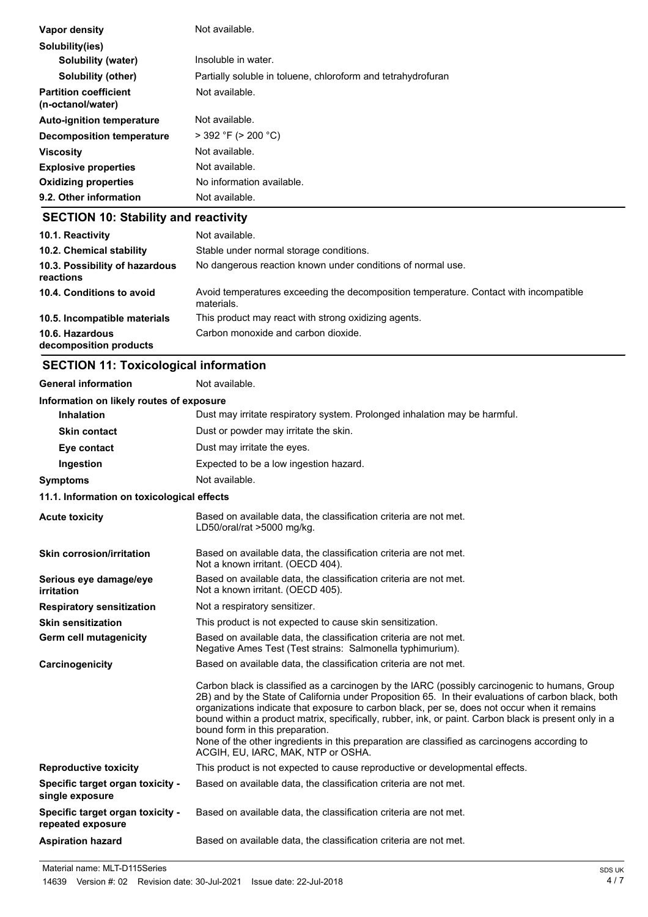| Vapor density                                     | Not available.                                               |
|---------------------------------------------------|--------------------------------------------------------------|
| Solubility(ies)                                   |                                                              |
| Solubility (water)                                | Insoluble in water.                                          |
| <b>Solubility (other)</b>                         | Partially soluble in toluene, chloroform and tetrahydrofuran |
| <b>Partition coefficient</b><br>(n-octanol/water) | Not available.                                               |
| <b>Auto-ignition temperature</b>                  | Not available.                                               |
| Decomposition temperature                         | $>$ 392 °F ( $>$ 200 °C)                                     |
| <b>Viscosity</b>                                  | Not available.                                               |
| <b>Explosive properties</b>                       | Not available.                                               |
| <b>Oxidizing properties</b>                       | No information available.                                    |
| 9.2. Other information                            | Not available.                                               |
|                                                   |                                                              |

### **SECTION 10: Stability and reactivity**

| 10.1. Reactivity<br>10.2. Chemical stability<br>10.3. Possibility of hazardous | Not available.<br>Stable under normal storage conditions.<br>No dangerous reaction known under conditions of normal use. |
|--------------------------------------------------------------------------------|--------------------------------------------------------------------------------------------------------------------------|
| reactions                                                                      |                                                                                                                          |
| 10.4. Conditions to avoid                                                      | Avoid temperatures exceeding the decomposition temperature. Contact with incompatible<br>materials.                      |
| 10.5. Incompatible materials                                                   | This product may react with strong oxidizing agents.                                                                     |
| 10.6. Hazardous<br>decomposition products                                      | Carbon monoxide and carbon dioxide.                                                                                      |

## **SECTION 11: Toxicological information**

| <b>General information</b>                            | Not available.                                                                                                                                                                                                                                                                                                                                                                                                                                                                                                                                                                          |
|-------------------------------------------------------|-----------------------------------------------------------------------------------------------------------------------------------------------------------------------------------------------------------------------------------------------------------------------------------------------------------------------------------------------------------------------------------------------------------------------------------------------------------------------------------------------------------------------------------------------------------------------------------------|
| Information on likely routes of exposure              |                                                                                                                                                                                                                                                                                                                                                                                                                                                                                                                                                                                         |
| <b>Inhalation</b>                                     | Dust may irritate respiratory system. Prolonged inhalation may be harmful.                                                                                                                                                                                                                                                                                                                                                                                                                                                                                                              |
| <b>Skin contact</b>                                   | Dust or powder may irritate the skin.                                                                                                                                                                                                                                                                                                                                                                                                                                                                                                                                                   |
| Eye contact                                           | Dust may irritate the eyes.                                                                                                                                                                                                                                                                                                                                                                                                                                                                                                                                                             |
| Ingestion                                             | Expected to be a low ingestion hazard.                                                                                                                                                                                                                                                                                                                                                                                                                                                                                                                                                  |
| <b>Symptoms</b>                                       | Not available.                                                                                                                                                                                                                                                                                                                                                                                                                                                                                                                                                                          |
| 11.1. Information on toxicological effects            |                                                                                                                                                                                                                                                                                                                                                                                                                                                                                                                                                                                         |
| <b>Acute toxicity</b>                                 | Based on available data, the classification criteria are not met.<br>LD50/oral/rat >5000 mg/kg.                                                                                                                                                                                                                                                                                                                                                                                                                                                                                         |
| <b>Skin corrosion/irritation</b>                      | Based on available data, the classification criteria are not met.<br>Not a known irritant. (OECD 404).                                                                                                                                                                                                                                                                                                                                                                                                                                                                                  |
| Serious eye damage/eye<br>irritation                  | Based on available data, the classification criteria are not met.<br>Not a known irritant. (OECD 405).                                                                                                                                                                                                                                                                                                                                                                                                                                                                                  |
| <b>Respiratory sensitization</b>                      | Not a respiratory sensitizer.                                                                                                                                                                                                                                                                                                                                                                                                                                                                                                                                                           |
| <b>Skin sensitization</b>                             | This product is not expected to cause skin sensitization.                                                                                                                                                                                                                                                                                                                                                                                                                                                                                                                               |
| <b>Germ cell mutagenicity</b>                         | Based on available data, the classification criteria are not met.<br>Negative Ames Test (Test strains: Salmonella typhimurium).                                                                                                                                                                                                                                                                                                                                                                                                                                                         |
| Carcinogenicity                                       | Based on available data, the classification criteria are not met.                                                                                                                                                                                                                                                                                                                                                                                                                                                                                                                       |
|                                                       | Carbon black is classified as a carcinogen by the IARC (possibly carcinogenic to humans, Group<br>2B) and by the State of California under Proposition 65. In their evaluations of carbon black, both<br>organizations indicate that exposure to carbon black, per se, does not occur when it remains<br>bound within a product matrix, specifically, rubber, ink, or paint. Carbon black is present only in a<br>bound form in this preparation.<br>None of the other ingredients in this preparation are classified as carcinogens according to<br>ACGIH, EU, IARC, MAK, NTP or OSHA. |
| <b>Reproductive toxicity</b>                          | This product is not expected to cause reproductive or developmental effects.                                                                                                                                                                                                                                                                                                                                                                                                                                                                                                            |
| Specific target organ toxicity -<br>single exposure   | Based on available data, the classification criteria are not met.                                                                                                                                                                                                                                                                                                                                                                                                                                                                                                                       |
| Specific target organ toxicity -<br>repeated exposure | Based on available data, the classification criteria are not met.                                                                                                                                                                                                                                                                                                                                                                                                                                                                                                                       |
| <b>Aspiration hazard</b>                              | Based on available data, the classification criteria are not met.                                                                                                                                                                                                                                                                                                                                                                                                                                                                                                                       |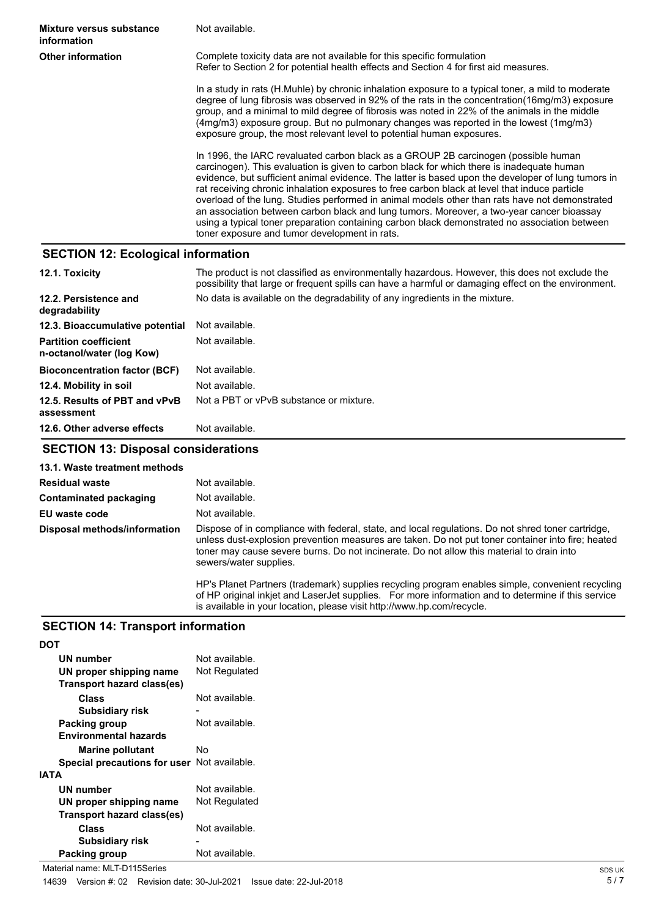**Mixture versus substance** Not available. **information Other information Complete toxicity data are not available for this specific formulation** Refer to Section 2 for potential health effects and Section 4 for first aid measures. In a study in rats (H.Muhle) by chronic inhalation exposure to a typical toner, a mild to moderate degree of lung fibrosis was observed in 92% of the rats in the concentration(16mg/m3) exposure group, and a minimal to mild degree of fibrosis was noted in 22% of the animals in the middle (4mg/m3) exposure group. But no pulmonary changes was reported in the lowest (1mg/m3) exposure group, the most relevant level to potential human exposures. In 1996, the IARC revaluated carbon black as a GROUP 2B carcinogen (possible human carcinogen). This evaluation is given to carbon black for which there is inadequate human evidence, but sufficient animal evidence. The latter is based upon the developer of lung tumors in rat receiving chronic inhalation exposures to free carbon black at level that induce particle overload of the lung. Studies performed in animal models other than rats have not demonstrated an association between carbon black and lung tumors. Moreover, a two-year cancer bioassay using a typical toner preparation containing carbon black demonstrated no association between toner exposure and tumor development in rats.

### **SECTION 12: Ecological information**

| 12.1. Toxicity                                            | The product is not classified as environmentally hazardous. However, this does not exclude the<br>possibility that large or frequent spills can have a harmful or damaging effect on the environment. |
|-----------------------------------------------------------|-------------------------------------------------------------------------------------------------------------------------------------------------------------------------------------------------------|
| 12.2. Persistence and<br>degradability                    | No data is available on the degradability of any ingredients in the mixture.                                                                                                                          |
| 12.3. Bioaccumulative potential                           | Not available.                                                                                                                                                                                        |
| <b>Partition coefficient</b><br>n-octanol/water (log Kow) | Not available.                                                                                                                                                                                        |
| <b>Bioconcentration factor (BCF)</b>                      | Not available.                                                                                                                                                                                        |
| 12.4. Mobility in soil                                    | Not available.                                                                                                                                                                                        |
| 12.5. Results of PBT and vPvB<br>assessment               | Not a PBT or vPvB substance or mixture.                                                                                                                                                               |
| 12.6. Other adverse effects                               | Not available.                                                                                                                                                                                        |

## **SECTION 13: Disposal considerations**

**13.1. Waste treatment methods**

| <b>Residual waste</b>        | Not available.                                                                                                                                                                                                                                                                                                                 |
|------------------------------|--------------------------------------------------------------------------------------------------------------------------------------------------------------------------------------------------------------------------------------------------------------------------------------------------------------------------------|
| Contaminated packaging       | Not available.                                                                                                                                                                                                                                                                                                                 |
| EU waste code                | Not available.                                                                                                                                                                                                                                                                                                                 |
| Disposal methods/information | Dispose of in compliance with federal, state, and local regulations. Do not shred toner cartridge,<br>unless dust-explosion prevention measures are taken. Do not put toner container into fire; heated<br>toner may cause severe burns. Do not incinerate. Do not allow this material to drain into<br>sewers/water supplies. |
|                              | HP's Planet Partners (trademark) supplies recycling program enables simple, convenient recycling<br>sfilm satata iltalat isa ili secolat sonalise – mesoscoso tafiano illegge sa ili distrancia e Multi secoles –                                                                                                              |

of HP original inkjet and LaserJet supplies. For more information and to determine if this service is available in your location, please visit http://www.hp.com/recycle.

## **SECTION 14: Transport information**

**DOT** 

| וש                                          |                |
|---------------------------------------------|----------------|
| <b>UN number</b>                            | Not available. |
| UN proper shipping name                     | Not Regulated  |
| Transport hazard class(es)                  |                |
| <b>Class</b>                                | Not available. |
| <b>Subsidiary risk</b>                      |                |
| Packing group                               | Not available. |
| <b>Environmental hazards</b>                |                |
| <b>Marine pollutant</b>                     | No             |
| Special precautions for user Not available. |                |
| <b>IATA</b>                                 |                |
| UN number                                   | Not available. |
| UN proper shipping name                     | Not Regulated  |
| Transport hazard class(es)                  |                |
| <b>Class</b>                                | Not available. |
| <b>Subsidiary risk</b>                      |                |
| Packing group                               | Not available. |
|                                             |                |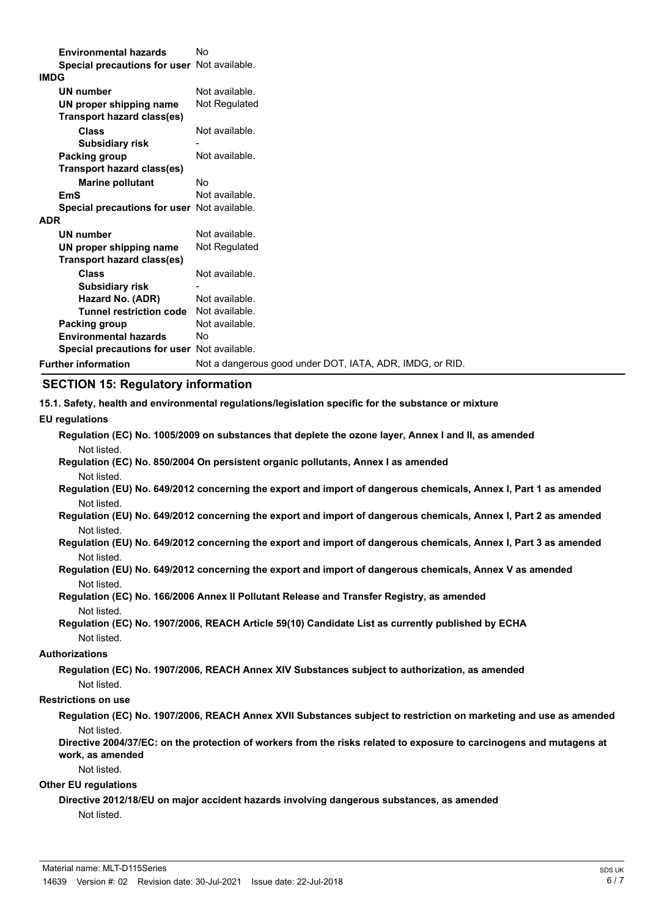| <b>Environmental hazards</b>                | No                                                       |
|---------------------------------------------|----------------------------------------------------------|
| Special precautions for user Not available. |                                                          |
| <b>IMDG</b>                                 |                                                          |
| <b>UN number</b>                            | Not available.                                           |
| UN proper shipping name                     | Not Regulated                                            |
| Transport hazard class(es)                  |                                                          |
| <b>Class</b>                                | Not available.                                           |
| <b>Subsidiary risk</b>                      |                                                          |
| Packing group                               | Not available.                                           |
| Transport hazard class(es)                  |                                                          |
| <b>Marine pollutant</b>                     | Nο                                                       |
| <b>EmS</b>                                  | Not available.                                           |
| Special precautions for user Not available. |                                                          |
| <b>ADR</b>                                  |                                                          |
| <b>UN number</b>                            | Not available.                                           |
| UN proper shipping name                     | Not Regulated                                            |
| <b>Transport hazard class(es)</b>           |                                                          |
| <b>Class</b>                                | Not available.                                           |
| <b>Subsidiary risk</b>                      |                                                          |
| Hazard No. (ADR)                            | Not available.                                           |
| <b>Tunnel restriction code</b>              | Not available.                                           |
| Packing group                               | Not available.                                           |
| <b>Environmental hazards</b>                | No                                                       |
| Special precautions for user Not available. |                                                          |
| <b>Further information</b>                  | Not a dangerous good under DOT, IATA, ADR, IMDG, or RID. |

#### **SECTION 15: Regulatory information**

**15.1. Safety, health and environmental regulations/legislation specific for the substance or mixture**

**EU regulations**

|             | Regulation (EC) No. 1005/2009 on substances that deplete the ozone layer, Annex I and II, as amended |  |  |
|-------------|------------------------------------------------------------------------------------------------------|--|--|
| Not listed. |                                                                                                      |  |  |

- **Regulation (EC) No. 850/2004 On persistent organic pollutants, Annex I as amended** Not listed.
- **Regulation (EU) No. 649/2012 concerning the export and import of dangerous chemicals, Annex I, Part 1 as amended** Not listed.
- **Regulation (EU) No. 649/2012 concerning the export and import of dangerous chemicals, Annex I, Part 2 as amended** Not listed.
- **Regulation (EU) No. 649/2012 concerning the export and import of dangerous chemicals, Annex I, Part 3 as amended** Not listed.
- **Regulation (EU) No. 649/2012 concerning the export and import of dangerous chemicals, Annex V as amended** Not listed.
- **Regulation (EC) No. 166/2006 Annex II Pollutant Release and Transfer Registry, as amended** Not listed.
- **Regulation (EC) No. 1907/2006, REACH Article 59(10) Candidate List as currently published by ECHA** Not listed.

#### **Authorizations**

**Regulation (EC) No. 1907/2006, REACH Annex XIV Substances subject to authorization, as amended** Not listed.

#### **Restrictions on use**

**Regulation (EC) No. 1907/2006, REACH Annex XVII Substances subject to restriction on marketing and use as amended** Not listed.

**Directive 2004/37/EC: on the protection of workers from the risks related to exposure to carcinogens and mutagens at work, as amended**

#### Not listed.

#### **Other EU regulations**

**Directive 2012/18/EU on major accident hazards involving dangerous substances, as amended**

Not listed.